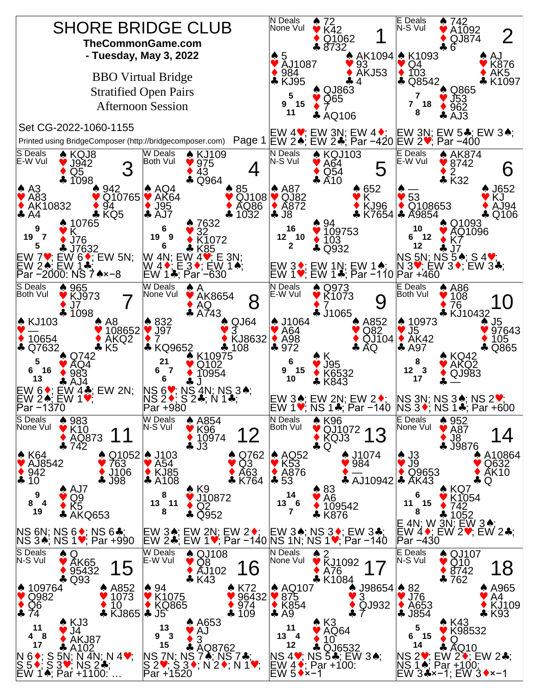